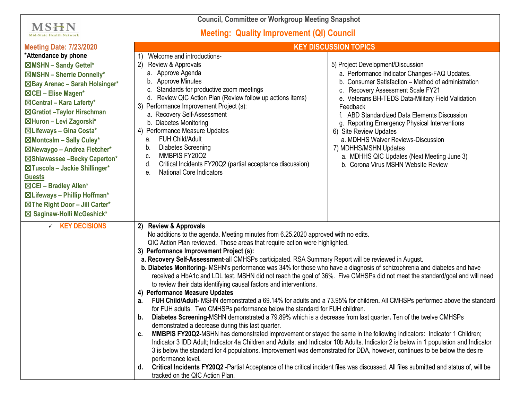**Council, Committee or Workgroup Meeting Snapshot**

## **Meeting: Quality Improvement (QI) Council**

**MSHN** Mid-State Health Network

| <b>Meeting Date: 7/23/2020</b>                                                                                                                                                                                                                                                                                                                                                                                                                                                                                                         | <b>KEY DISCUSSION TOPICS</b>                                                                                                                                                                                                                                                                                                                                                                                                                                                                                                                                                                                                                                                                                                                                                                                                                                                                                                                                                                                                                                                                                                                                                                                                                                                                                                                                                                                                                                                                                                                                                                                                                                                                                                |                                                                                                                                                                                                                                                                                                                                                                                                                                                                                                                                 |
|----------------------------------------------------------------------------------------------------------------------------------------------------------------------------------------------------------------------------------------------------------------------------------------------------------------------------------------------------------------------------------------------------------------------------------------------------------------------------------------------------------------------------------------|-----------------------------------------------------------------------------------------------------------------------------------------------------------------------------------------------------------------------------------------------------------------------------------------------------------------------------------------------------------------------------------------------------------------------------------------------------------------------------------------------------------------------------------------------------------------------------------------------------------------------------------------------------------------------------------------------------------------------------------------------------------------------------------------------------------------------------------------------------------------------------------------------------------------------------------------------------------------------------------------------------------------------------------------------------------------------------------------------------------------------------------------------------------------------------------------------------------------------------------------------------------------------------------------------------------------------------------------------------------------------------------------------------------------------------------------------------------------------------------------------------------------------------------------------------------------------------------------------------------------------------------------------------------------------------------------------------------------------------|---------------------------------------------------------------------------------------------------------------------------------------------------------------------------------------------------------------------------------------------------------------------------------------------------------------------------------------------------------------------------------------------------------------------------------------------------------------------------------------------------------------------------------|
| *Attendance by phone<br>⊠MSHN - Sandy Gettel*<br>$\boxtimes$ MSHN - Sherrie Donnelly*<br>⊠Bay Arenac - Sarah Holsinger*<br>⊠CEI - Elise Magen*<br>⊠Central - Kara Laferty*<br>⊠Gratiot - Taylor Hirschman<br>⊠Huron - Levi Zagorski*<br>⊠Lifeways - Gina Costa*<br>⊠Montcalm - Sally Culey*<br>⊠Newaygo - Andrea Fletcher*<br>⊠Shiawassee -Becky Caperton*<br>⊠Tuscola - Jackie Shillinger*<br><b>Guests</b><br>⊠CEI - Bradley Allen*<br>⊠ Lifeways - Phillip Hoffman*<br>⊠The Right Door - Jill Carter*<br>⊠ Saginaw-Holli McGeshick* | Welcome and introductions-<br>2)<br>Review & Approvals<br>a. Approve Agenda<br>b. Approve Minutes<br>c. Standards for productive zoom meetings<br>d. Review QIC Action Plan (Review follow up actions items)<br>3) Performance Improvement Project (s):<br>a. Recovery Self-Assessment<br>b. Diabetes Monitoring<br>4) Performance Measure Updates<br><b>FUH Child/Adult</b><br>a.<br><b>Diabetes Screening</b><br>b.<br>MMBPIS FY20Q2<br>c.<br>Critical Incidents FY20Q2 (partial acceptance discussion)<br>d.<br><b>National Core Indicators</b><br>е.                                                                                                                                                                                                                                                                                                                                                                                                                                                                                                                                                                                                                                                                                                                                                                                                                                                                                                                                                                                                                                                                                                                                                                    | 5) Project Development/Discussion<br>a. Performance Indicator Changes-FAQ Updates.<br>b. Consumer Satisfaction - Method of administration<br>c. Recovery Assessment Scale FY21<br>e. Veterans BH-TEDS Data-Military Field Validation<br>Feedback<br>f. ABD Standardized Data Elements Discussion<br>g. Reporting Emergency Physical Interventions<br>6) Site Review Updates<br>a. MDHHS Waiver Reviews-Discussion<br>7) MDHHS/MSHN Updates<br>a. MDHHS QIC Updates (Next Meeting June 3)<br>b. Corona Virus MSHN Website Review |
| $\times$ KEY DECISIONS                                                                                                                                                                                                                                                                                                                                                                                                                                                                                                                 | 2) Review & Approvals<br>No additions to the agenda. Meeting minutes from 6.25.2020 approved with no edits.<br>QIC Action Plan reviewed. Those areas that require action were highlighted.<br>3) Performance Improvement Project (s):<br>a. Recovery Self-Assessment-all CMHSPs participated. RSA Summary Report will be reviewed in August.<br>b. Diabetes Monitoring-MSHN's performance was 34% for those who have a diagnosis of schizophrenia and diabetes and have<br>received a HbA1c and LDL test. MSHN did not reach the goal of 36%. Five CMHSPs did not meet the standard/goal and will need<br>to review their data identifying causal factors and interventions.<br>4) Performance Measure Updates<br>FUH Child/Adult- MSHN demonstrated a 69.14% for adults and a 73.95% for children. All CMHSPs performed above the standard<br>a.<br>for FUH adults. Two CMHSPs performance below the standard for FUH children.<br>Diabetes Screening-MSHN demonstrated a 79.89% which is a decrease from last quarter. Ten of the twelve CMHSPs<br>b.<br>demonstrated a decrease during this last quarter.<br>MMBPIS FY20Q2-MSHN has demonstrated improvement or stayed the same in the following indicators: Indicator 1 Children;<br>c.<br>Indicator 3 IDD Adult; Indicator 4a Children and Adults; and Indicator 10b Adults. Indicator 2 is below in 1 population and Indicator<br>3 is below the standard for 4 populations. Improvement was demonstrated for DDA, however, continues to be below the desire<br>performance level.<br>Critical Incidents FY20Q2 -Partial Acceptance of the critical incident files was discussed. All files submitted and status of, will be<br>d.<br>tracked on the QIC Action Plan. |                                                                                                                                                                                                                                                                                                                                                                                                                                                                                                                                 |